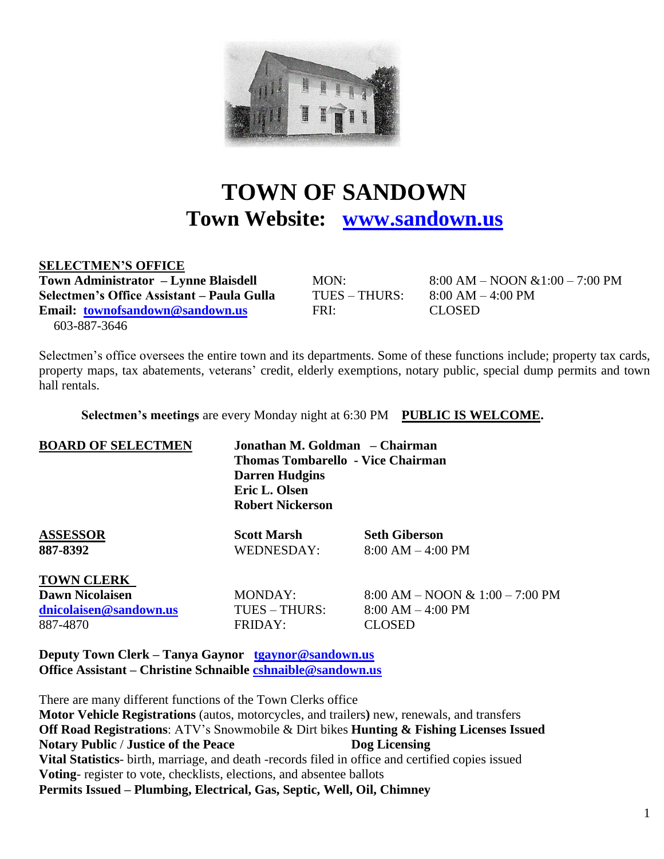

# **TOWN OF SANDOWN Town Website: [www.sandown.us](http://www.sandown.us/)**

#### **SELECTMEN'S OFFICE**

**Town Administrator – Lynne Blaisdell** MON: 8:00 AM – NOON &1:00 – 7:00 PM **Selectmen's Office Assistant – Paula Gulla** TUES – THURS: 8:00 AM – 4:00 PM **Email: [townofsandown@sandown.us](mailto:townofsandown@sandown.us)** FRI: CLOSED 603-887-3646

Selectmen's office oversees the entire town and its departments. Some of these functions include; property tax cards, property maps, tax abatements, veterans' credit, elderly exemptions, notary public, special dump permits and town hall rentals.

 **Selectmen's meetings** are every Monday night at 6:30 PM **PUBLIC IS WELCOME.**

| <b>BOARD OF SELECTMEN</b> | <b>Darren Hudgins</b><br>Eric L. Olsen<br><b>Robert Nickerson</b> | Jonathan M. Goldman – Chairman<br><b>Thomas Tombarello - Vice Chairman</b> |  |  |
|---------------------------|-------------------------------------------------------------------|----------------------------------------------------------------------------|--|--|
| <b>ASSESSOR</b>           | <b>Scott Marsh</b>                                                | <b>Seth Giberson</b>                                                       |  |  |
| 887-8392                  | WEDNESDAY:                                                        | $8:00 AM - 4:00 PM$                                                        |  |  |
| <b>TOWN CLERK</b>         |                                                                   |                                                                            |  |  |
| <b>Dawn Nicolaisen</b>    | <b>MONDAY:</b>                                                    | $8:00$ AM – NOON & $1:00 - 7:00$ PM                                        |  |  |
| dnicolaisen@sandown.us    | TUES - THURS:                                                     | $8:00 AM - 4:00 PM$                                                        |  |  |
| 887-4870                  | <b>FRIDAY:</b>                                                    | CLOSED                                                                     |  |  |

**Deputy Town Clerk – Tanya Gaynor [tgaynor@sandown.us](mailto:tgaynor@sandown.us) Office Assistant – Christine Schnaible [cshnaible@sandown.us](mailto:cshnaible@sandown.us)**

There are many different functions of the Town Clerks office **Motor Vehicle Registrations** (autos, motorcycles, and trailers**)** new, renewals, and transfers **Off Road Registrations**: ATV's Snowmobile & Dirt bikes **Hunting & Fishing Licenses Issued Notary Public** / **Justice of the Peace Dog Licensing Vital Statistics**- birth, marriage, and death -records filed in office and certified copies issued **Voting**- register to vote, checklists, elections, and absentee ballots **Permits Issued – Plumbing, Electrical, Gas, Septic, Well, Oil, Chimney**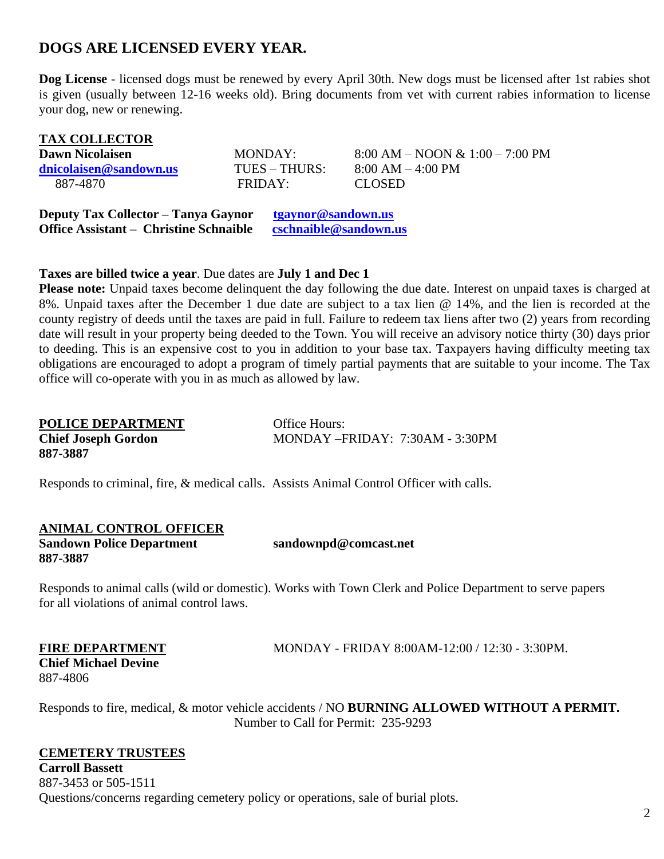## **DOGS ARE LICENSED EVERY YEAR.**

**Dog License** - licensed dogs must be renewed by every April 30th. New dogs must be licensed after 1st rabies shot is given (usually between 12-16 weeks old). Bring documents from vet with current rabies information to license your dog, new or renewing.

| <b>TAX COLLECTOR</b>   |                 |                                    |
|------------------------|-----------------|------------------------------------|
| Dawn Nicolaisen        | MONDAY:         | $8:00 AM - NOON \& 1:00 - 7:00 PM$ |
| dnicolaisen@sandown.us | $TUES - THURS:$ | $8:00 AM - 4:00 PM$                |
| 887-4870               | FRIDAY:         | CLOSED.                            |
|                        |                 |                                    |

**Deputy Tax Collector – Tanya Gaynor [tgaynor@sandown.us](mailto:tgaynor@sandown.us) Office Assistant – Christine Schnaible [cschnaible@sandown.us](mailto:cschnaible@sandown.us)**

#### **Taxes are billed twice a year**. Due dates are **July 1 and Dec 1**

**Please note:** Unpaid taxes become delinquent the day following the due date. Interest on unpaid taxes is charged at 8%. Unpaid taxes after the December 1 due date are subject to a tax lien @ 14%, and the lien is recorded at the county registry of deeds until the taxes are paid in full. Failure to redeem tax liens after two (2) years from recording date will result in your property being deeded to the Town. You will receive an advisory notice thirty (30) days prior to deeding. This is an expensive cost to you in addition to your base tax. Taxpayers having difficulty meeting tax obligations are encouraged to adopt a program of timely partial payments that are suitable to your income. The Tax office will co-operate with you in as much as allowed by law.

| <b>POLICE DEPARTMENT</b>   | <b>Office Hours:</b>               |
|----------------------------|------------------------------------|
| <b>Chief Joseph Gordon</b> | MONDAY $-$ FRIDAY: 7:30AM - 3:30PM |
| 887-3887                   |                                    |

Responds to criminal, fire, & medical calls. Assists Animal Control Officer with calls.

## **ANIMAL CONTROL OFFICER**

**887-3887**

**Sandown Police Department sandownpd@comcast.net** 

Responds to animal calls (wild or domestic). Works with Town Clerk and Police Department to serve papers for all violations of animal control laws.

**Chief Michael Devine** 887-4806

**FIRE DEPARTMENT** MONDAY - FRIDAY 8:00AM-12:00 / 12:30 - 3:30PM.

Responds to fire, medical, & motor vehicle accidents / NO **BURNING ALLOWED WITHOUT A PERMIT.**  Number to Call for Permit: 235-9293

### **CEMETERY TRUSTEES**

**Carroll Bassett** 887-3453 or 505-1511 Questions/concerns regarding cemetery policy or operations, sale of burial plots.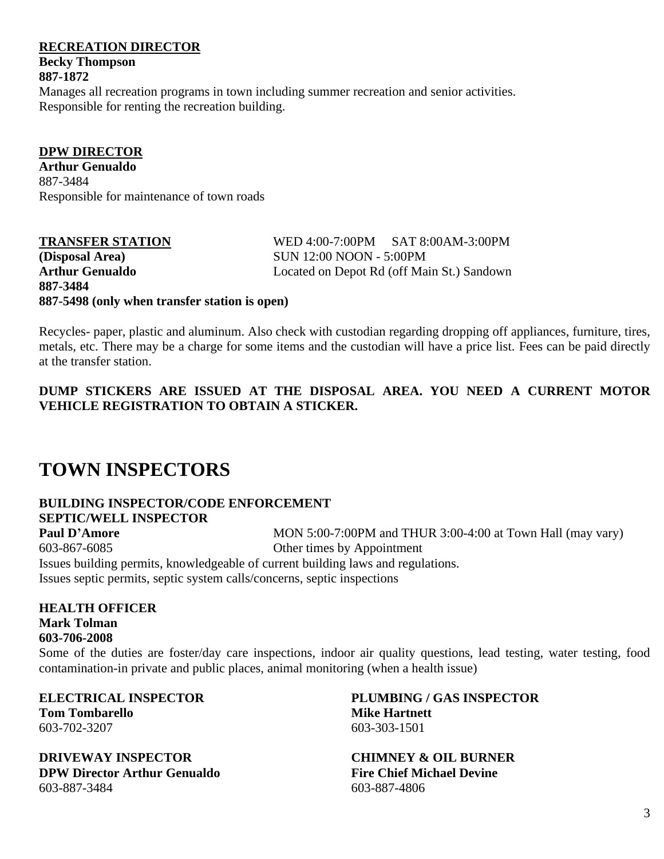#### **RECREATION DIRECTOR**

**Becky Thompson 887-1872**

Manages all recreation programs in town including summer recreation and senior activities. Responsible for renting the recreation building.

**DPW DIRECTOR Arthur Genualdo** 887-3484 Responsible for maintenance of town roads

**887-5498 (only when transfer station is open)** 

**TRANSFER STATION** WED 4:00-7:00PM SAT 8:00AM-3:00PM **(Disposal Area)** SUN 12:00 NOON - 5:00PM **Arthur Genualdo** Located on Depot Rd (off Main St.) Sandown **887-3484** 

Recycles- paper, plastic and aluminum. Also check with custodian regarding dropping off appliances, furniture, tires, metals, etc. There may be a charge for some items and the custodian will have a price list. Fees can be paid directly at the transfer station.

**DUMP STICKERS ARE ISSUED AT THE DISPOSAL AREA. YOU NEED A CURRENT MOTOR VEHICLE REGISTRATION TO OBTAIN A STICKER.**

# **TOWN INSPECTORS**

### **BUILDING INSPECTOR/CODE ENFORCEMENT SEPTIC/WELL INSPECTOR**

**Paul D'Amore** MON 5:00-7:00PM and THUR 3:00-4:00 at Town Hall (may vary) 603-867-6085 Other times by Appointment Issues building permits, knowledgeable of current building laws and regulations.

Issues septic permits, septic system calls/concerns, septic inspections

**HEALTH OFFICER Mark Tolman 603-706-2008** Some of the duties are foster/day care inspections, indoor air quality questions, lead testing, water testing, food contamination-in private and public places, animal monitoring (when a health issue)

**Tom Tombarello Mike Hartnett** 603-702-3207 603-303-1501

**DRIVEWAY INSPECTOR CHIMNEY & OIL BURNER DPW Director Arthur Genualdo Fire Chief Michael Devine**  603-887-3484 603-887-4806

**ELECTRICAL INSPECTOR PLUMBING / GAS INSPECTOR**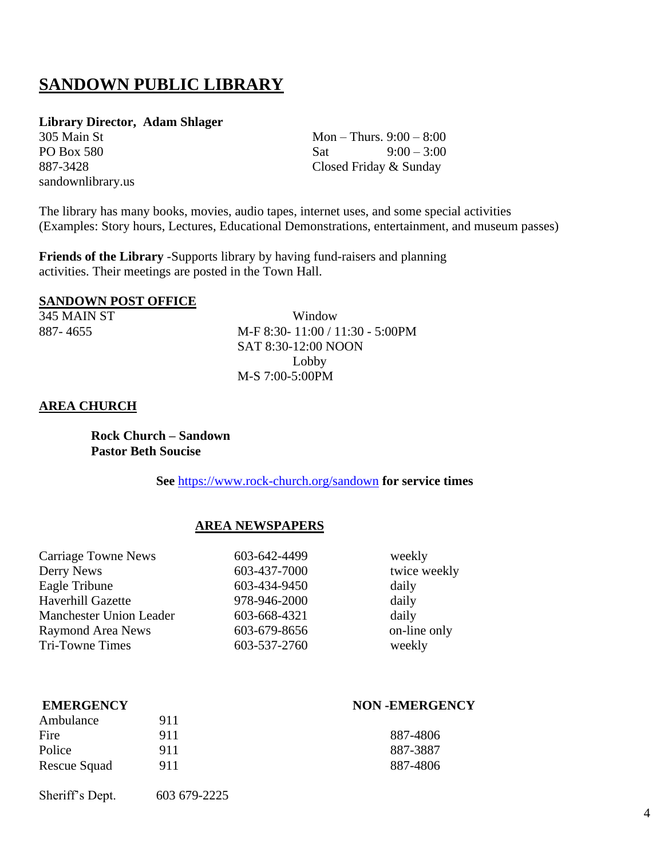# **SANDOWN PUBLIC LIBRARY**

#### **Library Director, Adam Shlager**

sandownlibrary.us

 $305$  Main St Mon – Thurs.  $9:00 - 8:00$ PO Box 580 Sat  $9:00-3:00$ 887-3428 Closed Friday & Sunday

The library has many books, movies, audio tapes, internet uses, and some special activities (Examples: Story hours, Lectures, Educational Demonstrations, entertainment, and museum passes)

**Friends of the Library** -Supports library by having fund-raisers and planning activities. Their meetings are posted in the Town Hall.

#### **SANDOWN POST OFFICE**

345 MAIN ST Window 887- 4655 M-F 8:30- 11:00 / 11:30 - 5:00PM SAT 8:30-12:00 NOON Lobby M-S 7:00-5:00PM

#### **AREA CHURCH**

**Rock Church – Sandown Pastor Beth Soucise** 

**See** <https://www.rock-church.org/sandown> **for service times**

#### **AREA NEWSPAPERS**

| <b>Carriage Towne News</b>     | 603-642-4499 | weekly       |
|--------------------------------|--------------|--------------|
| Derry News                     | 603-437-7000 | twice weekly |
| Eagle Tribune                  | 603-434-9450 | daily        |
| Haverhill Gazette              | 978-946-2000 | daily        |
| <b>Manchester Union Leader</b> | 603-668-4321 | daily        |
| <b>Raymond Area News</b>       | 603-679-8656 | on-line only |
| <b>Tri-Towne Times</b>         | 603-537-2760 | weekly       |

| <b>EMERGENCY</b> |     | <b>NON-EMERGENCY</b> |  |
|------------------|-----|----------------------|--|
| Ambulance        | 911 |                      |  |
| Fire             | 911 | 887-4806             |  |
| Police           | 911 | 887-3887             |  |
| Rescue Squad     | 911 | 887-4806             |  |

Sheriff's Dept. 603 679-2225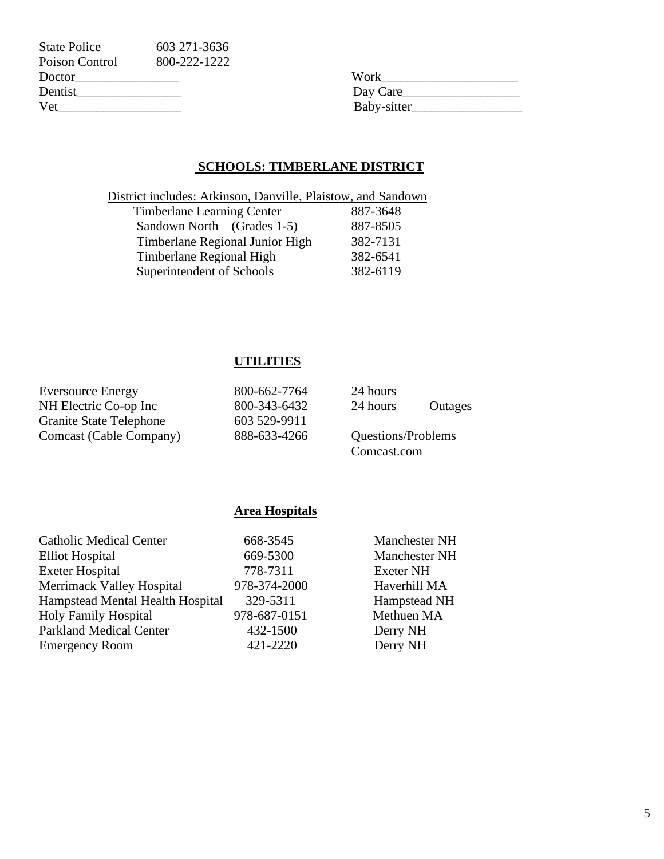| <b>State Police</b> | 603 271 - 3636 |             |
|---------------------|----------------|-------------|
| Poison Control      | 800-222-1222   |             |
| Doctor              |                | Work        |
| Dentist             |                | Day Care    |
| Vet                 |                | Baby-sitter |

| Work        |  |
|-------------|--|
| Day Care    |  |
| Baby-sitter |  |

### **SCHOOLS: TIMBERLANE DISTRICT**

| District includes: Atkinson, Danville, Plaistow, and Sandown |          |
|--------------------------------------------------------------|----------|
| <b>Timberlane Learning Center</b>                            | 887-3648 |
| Sandown North (Grades 1-5)                                   | 887-8505 |
| Timberlane Regional Junior High                              | 382-7131 |
| Timberlane Regional High                                     | 382-6541 |
| Superintendent of Schools                                    | 382-6119 |

## **UTILITIES**

| <b>Eversource Energy</b>       | 800-662-7764 | 24 hours           |         |
|--------------------------------|--------------|--------------------|---------|
| NH Electric Co-op Inc          | 800-343-6432 | 24 hours           | Outages |
| <b>Granite State Telephone</b> | 603 529-9911 |                    |         |
| Comcast (Cable Company)        | 888-633-4266 | Questions/Problems |         |
|                                |              | Comcast.com        |         |

### **Area Hospitals**

| <b>Catholic Medical Center</b>   | 668-3545     | Manchester NH        |
|----------------------------------|--------------|----------------------|
| <b>Elliot Hospital</b>           | 669-5300     | <b>Manchester NH</b> |
| <b>Exeter Hospital</b>           | 778-7311     | <b>Exeter NH</b>     |
| Merrimack Valley Hospital        | 978-374-2000 | Haverhill MA         |
| Hampstead Mental Health Hospital | 329-5311     | Hampstead NH         |
| <b>Holy Family Hospital</b>      | 978-687-0151 | Methuen MA           |
| <b>Parkland Medical Center</b>   | 432-1500     | Derry NH             |
| <b>Emergency Room</b>            | 421-2220     | Derry NH             |
|                                  |              |                      |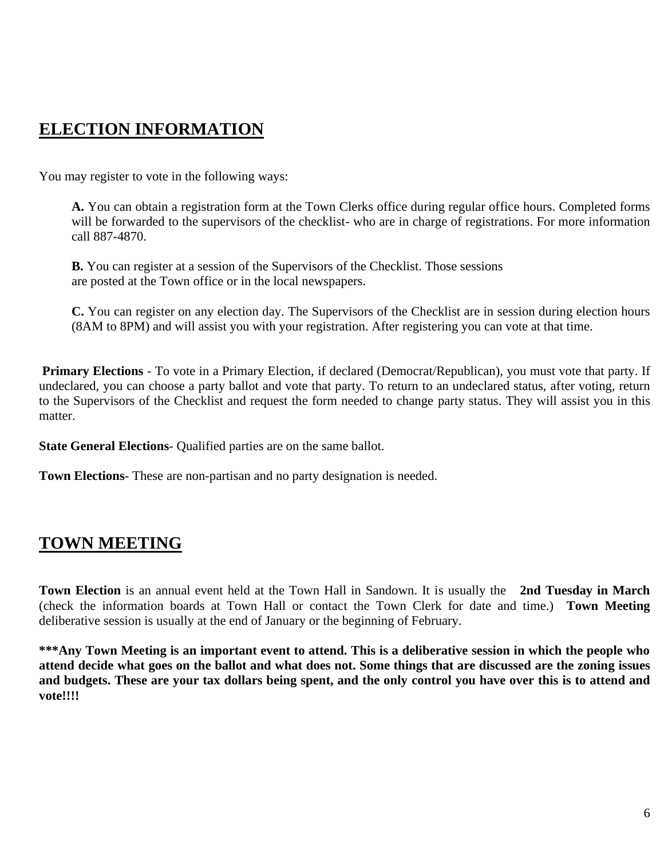# **ELECTION INFORMATION**

You may register to vote in the following ways:

**A.** You can obtain a registration form at the Town Clerks office during regular office hours. Completed forms will be forwarded to the supervisors of the checklist- who are in charge of registrations. For more information call 887-4870.

**B.** You can register at a session of the Supervisors of the Checklist. Those sessions are posted at the Town office or in the local newspapers.

**C.** You can register on any election day. The Supervisors of the Checklist are in session during election hours (8AM to 8PM) and will assist you with your registration. After registering you can vote at that time.

**Primary Elections** - To vote in a Primary Election, if declared (Democrat/Republican), you must vote that party. If undeclared, you can choose a party ballot and vote that party. To return to an undeclared status, after voting, return to the Supervisors of the Checklist and request the form needed to change party status. They will assist you in this matter.

**State General Elections**- Qualified parties are on the same ballot.

**Town Elections**- These are non-partisan and no party designation is needed.

## **TOWN MEETING**

**Town Election** is an annual event held at the Town Hall in Sandown. It is usually the **2nd Tuesday in March** (check the information boards at Town Hall or contact the Town Clerk for date and time.) **Town Meeting**  deliberative session is usually at the end of January or the beginning of February.

**\*\*\*Any Town Meeting is an important event to attend. This is a deliberative session in which the people who attend decide what goes on the ballot and what does not. Some things that are discussed are the zoning issues and budgets. These are your tax dollars being spent, and the only control you have over this is to attend and vote!!!!**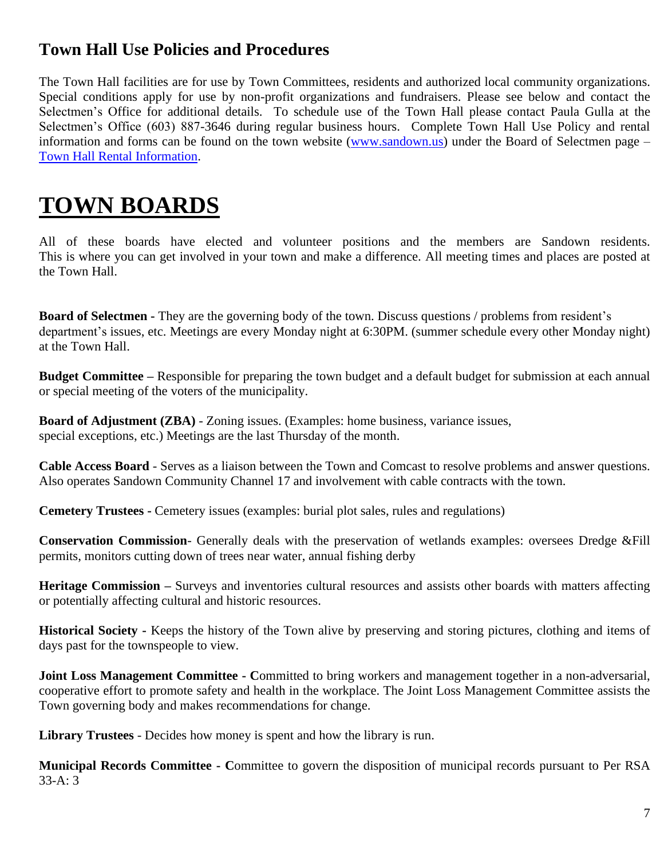## **Town Hall Use Policies and Procedures**

The Town Hall facilities are for use by Town Committees, residents and authorized local community organizations. Special conditions apply for use by non-profit organizations and fundraisers. Please see below and contact the Selectmen's Office for additional details. To schedule use of the Town Hall please contact Paula Gulla at the Selectmen's Office (603) 887-3646 during regular business hours. Complete Town Hall Use Policy and rental information and forms can be found on the town website [\(www.sandown.us\)](http://www.sandown.us/) under the Board of Selectmen page – [Town Hall Rental Information.](https://www.sandown.us/selectmens-office/pages/town-hall-rental-information)

# **TOWN BOARDS**

All of these boards have elected and volunteer positions and the members are Sandown residents. This is where you can get involved in your town and make a difference. All meeting times and places are posted at the Town Hall.

**Board of Selectmen -** They are the governing body of the town. Discuss questions / problems from resident's department's issues, etc. Meetings are every Monday night at 6:30PM. (summer schedule every other Monday night) at the Town Hall.

**Budget Committee –** Responsible for preparing the town budget and a default budget for submission at each annual or special meeting of the voters of the municipality.

**Board of Adjustment (ZBA)** - Zoning issues. (Examples: home business, variance issues, special exceptions, etc.) Meetings are the last Thursday of the month.

**Cable Access Board** - Serves as a liaison between the Town and Comcast to resolve problems and answer questions. Also operates Sandown Community Channel 17 and involvement with cable contracts with the town.

**Cemetery Trustees -** Cemetery issues (examples: burial plot sales, rules and regulations)

**Conservation Commission**- Generally deals with the preservation of wetlands examples: oversees Dredge &Fill permits, monitors cutting down of trees near water, annual fishing derby

**Heritage Commission –** Surveys and inventories cultural resources and assists other boards with matters affecting or potentially affecting cultural and historic resources.

**Historical Society -** Keeps the history of the Town alive by preserving and storing pictures, clothing and items of days past for the townspeople to view.

**Joint Loss Management Committee - Committed to bring workers and management together in a non-adversarial,** cooperative effort to promote safety and health in the workplace. The Joint Loss Management Committee assists the Town governing body and makes recommendations for change.

**Library Trustees** - Decides how money is spent and how the library is run.

**Municipal Records Committee - C**ommittee to govern the disposition of municipal records pursuant to Per RSA 33-A: 3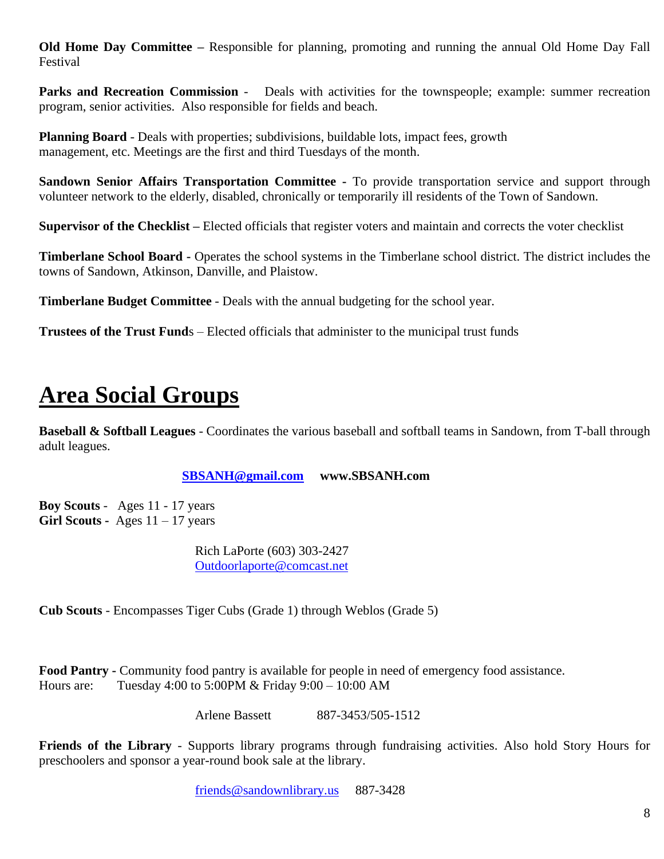**Old Home Day Committee –** Responsible for planning, promoting and running the annual Old Home Day Fall Festival

**Parks and Recreation Commission -** Deals with activities for the townspeople; example: summer recreation program, senior activities. Also responsible for fields and beach.

**Planning Board** - Deals with properties; subdivisions, buildable lots, impact fees, growth management, etc. Meetings are the first and third Tuesdays of the month.

**Sandown Senior Affairs Transportation Committee -** To provide transportation service and support through volunteer network to the elderly, disabled, chronically or temporarily ill residents of the Town of Sandown.

**Supervisor of the Checklist –** Elected officials that register voters and maintain and corrects the voter checklist

**Timberlane School Board -** Operates the school systems in the Timberlane school district. The district includes the towns of Sandown, Atkinson, Danville, and Plaistow.

**Timberlane Budget Committee** - Deals with the annual budgeting for the school year.

**Trustees of the Trust Fund**s – Elected officials that administer to the municipal trust funds

# **Area Social Groups**

**Baseball & Softball Leagues** - Coordinates the various baseball and softball teams in Sandown, from T-ball through adult leagues.

#### **[SBSANH@gmail.com](mailto:SBSANH@gmail.com) www.SBSANH.com**

**Boy Scouts** - Ages 11 - 17 years **Girl Scouts -** Ages 11 – 17 years

> Rich LaPorte (603) 303-2427 [Outdoorlaporte@comcast.net](mailto:Outdoorlaporte@comcast.net)

**Cub Scouts** - Encompasses Tiger Cubs (Grade 1) through Weblos (Grade 5)

**Food Pantry -** Community food pantry is available for people in need of emergency food assistance. Hours are: Tuesday 4:00 to 5:00PM & Friday 9:00 – 10:00 AM

Arlene Bassett 887-3453/505-1512

**Friends of the Library** - Supports library programs through fundraising activities. Also hold Story Hours for preschoolers and sponsor a year-round book sale at the library.

[friends@sandownlibrary.us](mailto:friends@sandownlibrary.us) 887-3428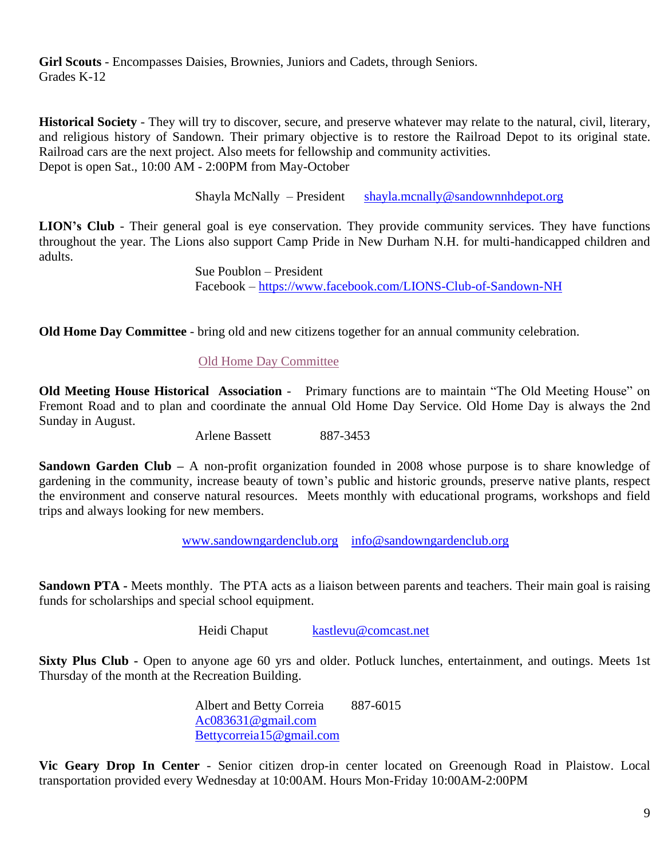**Girl Scouts** - Encompasses Daisies, Brownies, Juniors and Cadets, through Seniors. Grades K-12

**Historical Society** - They will try to discover, secure, and preserve whatever may relate to the natural, civil, literary, and religious history of Sandown. Their primary objective is to restore the Railroad Depot to its original state. Railroad cars are the next project. Also meets for fellowship and community activities. Depot is open Sat., 10:00 AM - 2:00PM from May-October

Shayla McNally – President [shayla.mcnally@sandownnhdepot.org](mailto:shayla.mcnally@sandownnhdepot.org)

LION's Club - Their general goal is eye conservation. They provide community services. They have functions throughout the year. The Lions also support Camp Pride in New Durham N.H. for multi-handicapped children and adults.

> Sue Poublon – President Facebook – <https://www.facebook.com/LIONS-Club-of-Sandown-NH>

**Old Home Day Committee** - bring old and new citizens together for an annual community celebration.

#### [Old Home Day Committee](https://www.sandown.us/old-home-day-committee)

**Old Meeting House Historical Association** - Primary functions are to maintain "The Old Meeting House" on Fremont Road and to plan and coordinate the annual Old Home Day Service. Old Home Day is always the 2nd Sunday in August.

Arlene Bassett 887-3453

**Sandown Garden Club –** A non-profit organization founded in 2008 whose purpose is to share knowledge of gardening in the community, increase beauty of town's public and historic grounds, preserve native plants, respect the environment and conserve natural resources. Meets monthly with educational programs, workshops and field trips and always looking for new members.

[www.sandowngardenclub.org](http://www.sandowngardenclub.org/) [info@sandowngardenclub.org](mailto:info@sandowngardenclub.org)

**Sandown PTA -** Meets monthly. The PTA acts as a liaison between parents and teachers. Their main goal is raising funds for scholarships and special school equipment.

Heidi Chaput [kastlevu@comcast.net](mailto:kastlevu@comcast.net)

**Sixty Plus Club -** Open to anyone age 60 yrs and older. Potluck lunches, entertainment, and outings. Meets 1st Thursday of the month at the Recreation Building.

> Albert and Betty Correia 887-6015 [Ac083631@gmail.com](mailto:Ac083631@gmail.com) [Bettycorreia15@gmail.com](mailto:Bettycorreia15@gmail.com)

**Vic Geary Drop In Center** - Senior citizen drop-in center located on Greenough Road in Plaistow. Local transportation provided every Wednesday at 10:00AM. Hours Mon-Friday 10:00AM-2:00PM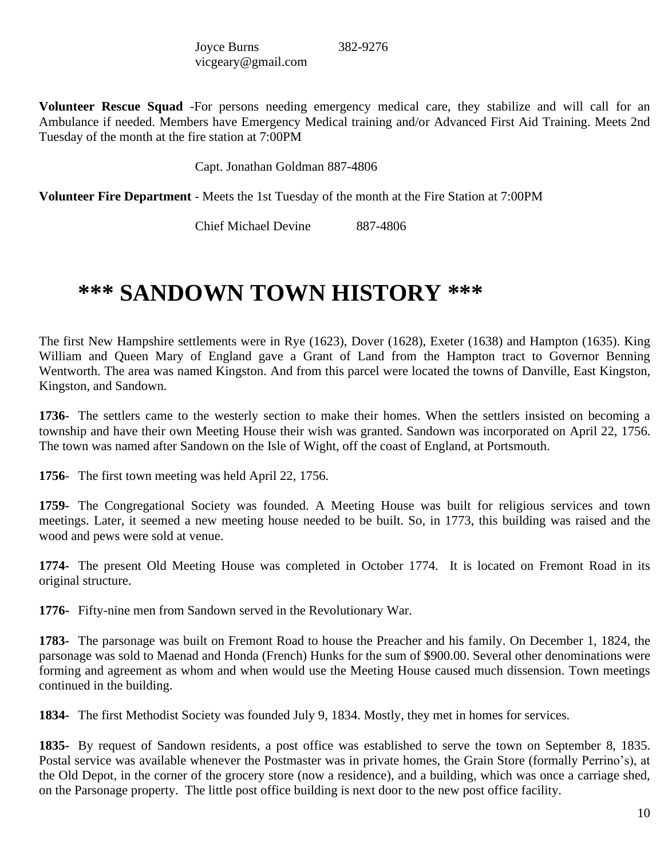| Joyce Burns        | 382-9276 |
|--------------------|----------|
| vicgeary@gmail.com |          |

**Volunteer Rescue Squad** -For persons needing emergency medical care, they stabilize and will call for an Ambulance if needed. Members have Emergency Medical training and/or Advanced First Aid Training. Meets 2nd Tuesday of the month at the fire station at 7:00PM

Capt. Jonathan Goldman 887-4806

**Volunteer Fire Department** - Meets the 1st Tuesday of the month at the Fire Station at 7:00PM

Chief Michael Devine 887-4806

# **\*\*\* SANDOWN TOWN HISTORY \*\*\***

The first New Hampshire settlements were in Rye (1623), Dover (1628), Exeter (1638) and Hampton (1635). King William and Queen Mary of England gave a Grant of Land from the Hampton tract to Governor Benning Wentworth. The area was named Kingston. And from this parcel were located the towns of Danville, East Kingston, Kingston, and Sandown.

**1736**- The settlers came to the westerly section to make their homes. When the settlers insisted on becoming a township and have their own Meeting House their wish was granted. Sandown was incorporated on April 22, 1756. The town was named after Sandown on the Isle of Wight, off the coast of England, at Portsmouth.

**1756**- The first town meeting was held April 22, 1756.

**1759-** The Congregational Society was founded. A Meeting House was built for religious services and town meetings. Later, it seemed a new meeting house needed to be built. So, in 1773, this building was raised and the wood and pews were sold at venue.

**1774-** The present Old Meeting House was completed in October 1774. It is located on Fremont Road in its original structure.

**1776-** Fifty-nine men from Sandown served in the Revolutionary War.

**1783-** The parsonage was built on Fremont Road to house the Preacher and his family. On December 1, 1824, the parsonage was sold to Maenad and Honda (French) Hunks for the sum of \$900.00. Several other denominations were forming and agreement as whom and when would use the Meeting House caused much dissension. Town meetings continued in the building.

**1834-** The first Methodist Society was founded July 9, 1834. Mostly, they met in homes for services.

**1835-** By request of Sandown residents, a post office was established to serve the town on September 8, 1835. Postal service was available whenever the Postmaster was in private homes, the Grain Store (formally Perrino's), at the Old Depot, in the corner of the grocery store (now a residence), and a building, which was once a carriage shed, on the Parsonage property. The little post office building is next door to the new post office facility.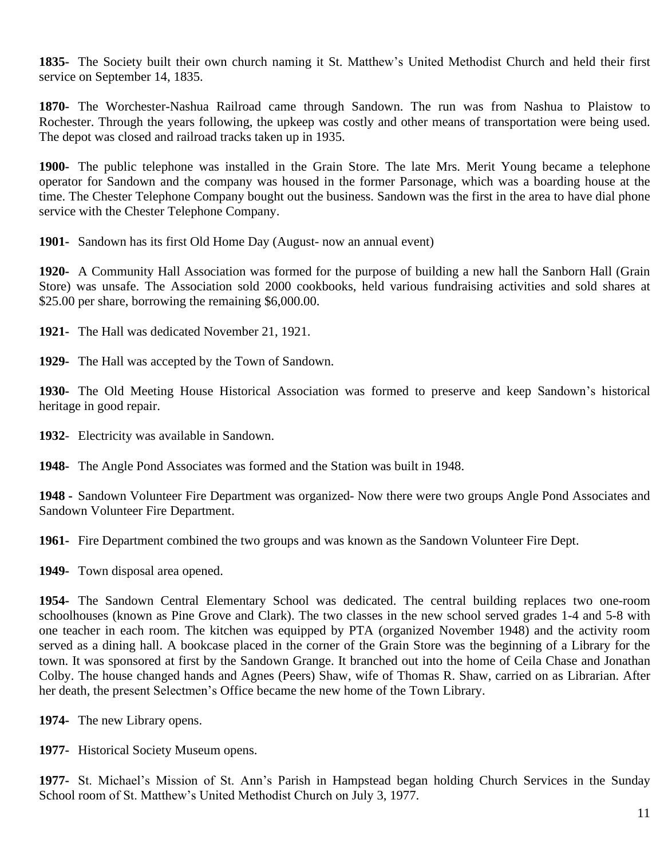**1835-** The Society built their own church naming it St. Matthew's United Methodist Church and held their first service on September 14, 1835.

**1870-** The Worchester-Nashua Railroad came through Sandown. The run was from Nashua to Plaistow to Rochester. Through the years following, the upkeep was costly and other means of transportation were being used. The depot was closed and railroad tracks taken up in 1935.

**1900-** The public telephone was installed in the Grain Store. The late Mrs. Merit Young became a telephone operator for Sandown and the company was housed in the former Parsonage, which was a boarding house at the time. The Chester Telephone Company bought out the business. Sandown was the first in the area to have dial phone service with the Chester Telephone Company.

**1901-** Sandown has its first Old Home Day (August- now an annual event)

**1920-** A Community Hall Association was formed for the purpose of building a new hall the Sanborn Hall (Grain Store) was unsafe. The Association sold 2000 cookbooks, held various fundraising activities and sold shares at \$25.00 per share, borrowing the remaining \$6,000.00.

**1921-** The Hall was dedicated November 21, 1921.

**1929-** The Hall was accepted by the Town of Sandown.

**1930-** The Old Meeting House Historical Association was formed to preserve and keep Sandown's historical heritage in good repair.

**1932**- Electricity was available in Sandown.

**1948-** The Angle Pond Associates was formed and the Station was built in 1948.

**1948 -** Sandown Volunteer Fire Department was organized- Now there were two groups Angle Pond Associates and Sandown Volunteer Fire Department.

**1961-** Fire Department combined the two groups and was known as the Sandown Volunteer Fire Dept.

**1949-** Town disposal area opened.

**1954-** The Sandown Central Elementary School was dedicated. The central building replaces two one-room schoolhouses (known as Pine Grove and Clark). The two classes in the new school served grades 1-4 and 5-8 with one teacher in each room. The kitchen was equipped by PTA (organized November 1948) and the activity room served as a dining hall. A bookcase placed in the corner of the Grain Store was the beginning of a Library for the town. It was sponsored at first by the Sandown Grange. It branched out into the home of Ceila Chase and Jonathan Colby. The house changed hands and Agnes (Peers) Shaw, wife of Thomas R. Shaw, carried on as Librarian. After her death, the present Selectmen's Office became the new home of the Town Library.

**1974-** The new Library opens.

**1977-** Historical Society Museum opens.

**1977-** St. Michael's Mission of St. Ann's Parish in Hampstead began holding Church Services in the Sunday School room of St. Matthew's United Methodist Church on July 3, 1977.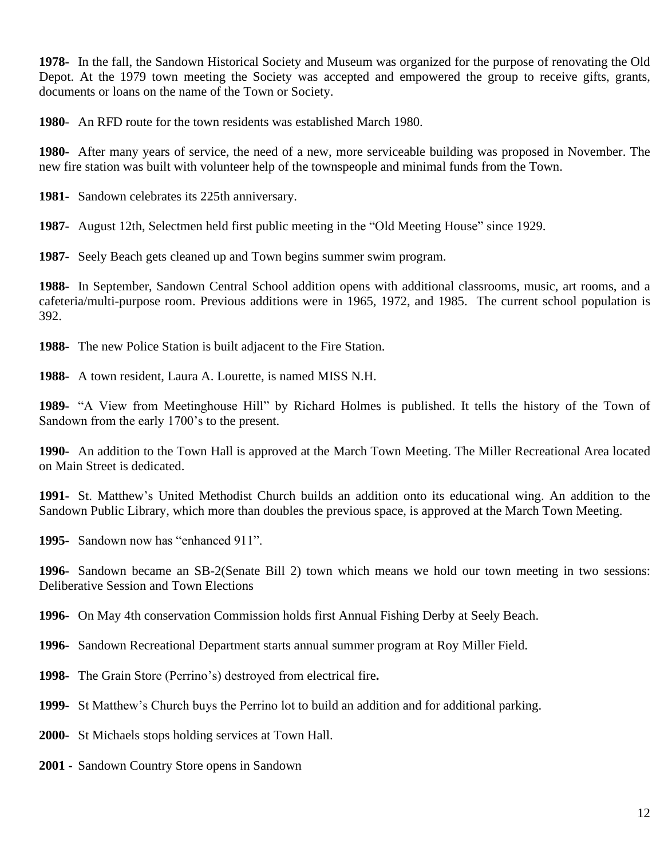**1978-** In the fall, the Sandown Historical Society and Museum was organized for the purpose of renovating the Old Depot. At the 1979 town meeting the Society was accepted and empowered the group to receive gifts, grants, documents or loans on the name of the Town or Society.

**1980**- An RFD route for the town residents was established March 1980.

**1980-** After many years of service, the need of a new, more serviceable building was proposed in November. The new fire station was built with volunteer help of the townspeople and minimal funds from the Town.

**1981-** Sandown celebrates its 225th anniversary.

**1987-** August 12th, Selectmen held first public meeting in the "Old Meeting House" since 1929.

**1987-** Seely Beach gets cleaned up and Town begins summer swim program.

**1988-** In September, Sandown Central School addition opens with additional classrooms, music, art rooms, and a cafeteria/multi-purpose room. Previous additions were in 1965, 1972, and 1985. The current school population is 392.

**1988-** The new Police Station is built adjacent to the Fire Station.

**1988-** A town resident, Laura A. Lourette, is named MISS N.H.

**1989-** "A View from Meetinghouse Hill" by Richard Holmes is published. It tells the history of the Town of Sandown from the early 1700's to the present.

**1990-** An addition to the Town Hall is approved at the March Town Meeting. The Miller Recreational Area located on Main Street is dedicated.

**1991-** St. Matthew's United Methodist Church builds an addition onto its educational wing. An addition to the Sandown Public Library, which more than doubles the previous space, is approved at the March Town Meeting.

**1995-** Sandown now has "enhanced 911".

**1996-** Sandown became an SB-2(Senate Bill 2) town which means we hold our town meeting in two sessions: Deliberative Session and Town Elections

**1996-** On May 4th conservation Commission holds first Annual Fishing Derby at Seely Beach.

**1996-** Sandown Recreational Department starts annual summer program at Roy Miller Field.

**1998-** The Grain Store (Perrino's) destroyed from electrical fire**.**

**1999-** St Matthew's Church buys the Perrino lot to build an addition and for additional parking.

**2000-** St Michaels stops holding services at Town Hall.

**2001 -** Sandown Country Store opens in Sandown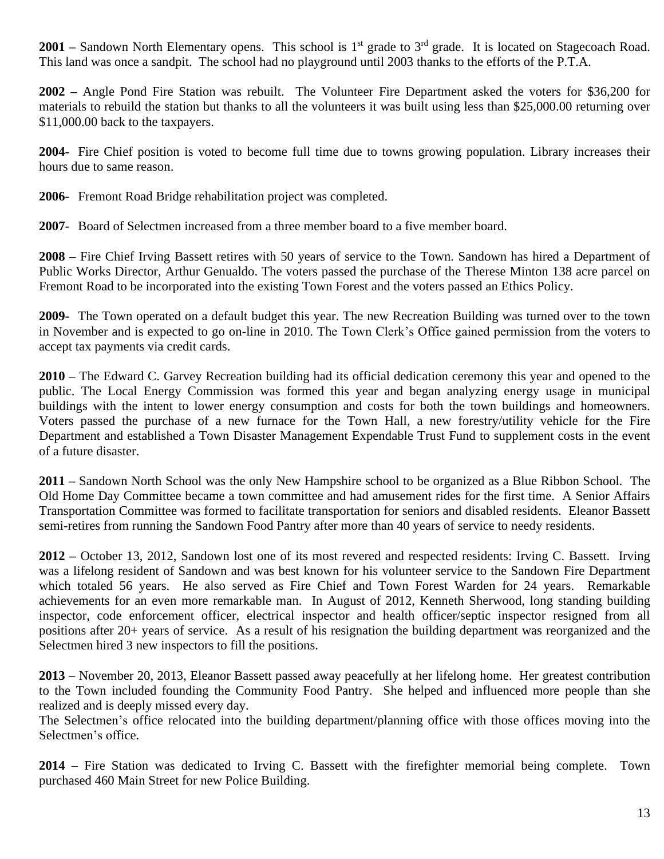**2001** – Sandown North Elementary opens. This school is 1<sup>st</sup> grade to 3<sup>rd</sup> grade. It is located on Stagecoach Road. This land was once a sandpit. The school had no playground until 2003 thanks to the efforts of the P.T.A.

**2002 –** Angle Pond Fire Station was rebuilt. The Volunteer Fire Department asked the voters for \$36,200 for materials to rebuild the station but thanks to all the volunteers it was built using less than \$25,000.00 returning over \$11,000.00 back to the taxpayers.

**2004-** Fire Chief position is voted to become full time due to towns growing population. Library increases their hours due to same reason.

**2006-** Fremont Road Bridge rehabilitation project was completed.

**2007-** Board of Selectmen increased from a three member board to a five member board.

**2008 –** Fire Chief Irving Bassett retires with 50 years of service to the Town. Sandown has hired a Department of Public Works Director, Arthur Genualdo. The voters passed the purchase of the Therese Minton 138 acre parcel on Fremont Road to be incorporated into the existing Town Forest and the voters passed an Ethics Policy.

**2009-** The Town operated on a default budget this year. The new Recreation Building was turned over to the town in November and is expected to go on-line in 2010. The Town Clerk's Office gained permission from the voters to accept tax payments via credit cards.

**2010 –** The Edward C. Garvey Recreation building had its official dedication ceremony this year and opened to the public. The Local Energy Commission was formed this year and began analyzing energy usage in municipal buildings with the intent to lower energy consumption and costs for both the town buildings and homeowners. Voters passed the purchase of a new furnace for the Town Hall, a new forestry/utility vehicle for the Fire Department and established a Town Disaster Management Expendable Trust Fund to supplement costs in the event of a future disaster.

**2011 –** Sandown North School was the only New Hampshire school to be organized as a Blue Ribbon School. The Old Home Day Committee became a town committee and had amusement rides for the first time. A Senior Affairs Transportation Committee was formed to facilitate transportation for seniors and disabled residents. Eleanor Bassett semi-retires from running the Sandown Food Pantry after more than 40 years of service to needy residents.

**2012 –** October 13, 2012, Sandown lost one of its most revered and respected residents: Irving C. Bassett. Irving was a lifelong resident of Sandown and was best known for his volunteer service to the Sandown Fire Department which totaled 56 years. He also served as Fire Chief and Town Forest Warden for 24 years. Remarkable achievements for an even more remarkable man. In August of 2012, Kenneth Sherwood, long standing building inspector, code enforcement officer, electrical inspector and health officer/septic inspector resigned from all positions after 20+ years of service. As a result of his resignation the building department was reorganized and the Selectmen hired 3 new inspectors to fill the positions.

**2013** – November 20, 2013, Eleanor Bassett passed away peacefully at her lifelong home. Her greatest contribution to the Town included founding the Community Food Pantry. She helped and influenced more people than she realized and is deeply missed every day.

The Selectmen's office relocated into the building department/planning office with those offices moving into the Selectmen's office.

**2014** – Fire Station was dedicated to Irving C. Bassett with the firefighter memorial being complete. Town purchased 460 Main Street for new Police Building.